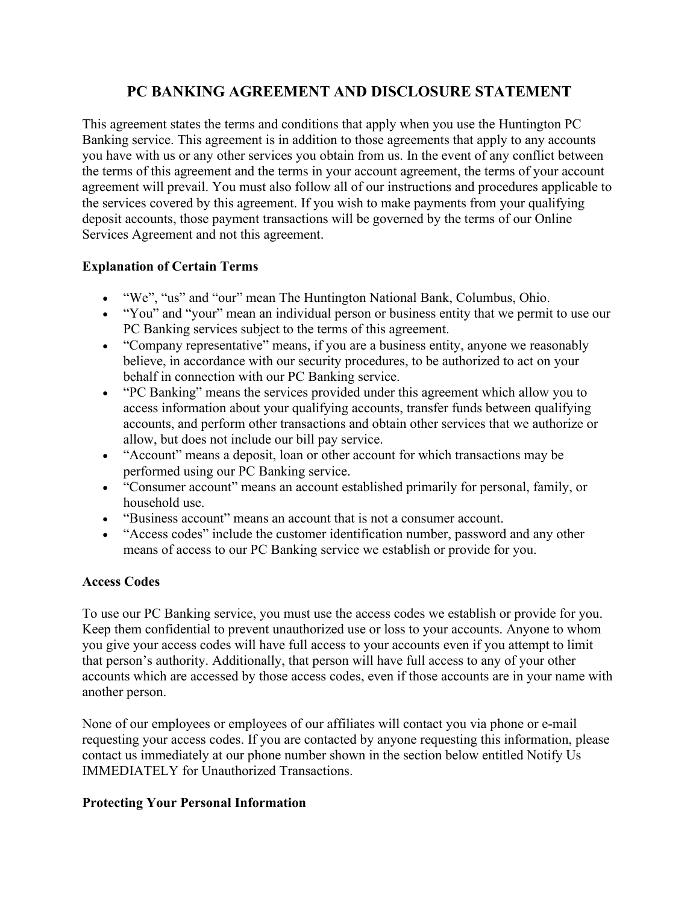# **PC BANKING AGREEMENT AND DISCLOSURE STATEMENT**

This agreement states the terms and conditions that apply when you use the Huntington PC Banking service. This agreement is in addition to those agreements that apply to any accounts you have with us or any other services you obtain from us. In the event of any conflict between the terms of this agreement and the terms in your account agreement, the terms of your account agreement will prevail. You must also follow all of our instructions and procedures applicable to the services covered by this agreement. If you wish to make payments from your qualifying deposit accounts, those payment transactions will be governed by the terms of our Online Services Agreement and not this agreement.

#### **Explanation of Certain Terms**

- "We", "us" and "our" mean The Huntington National Bank, Columbus, Ohio.
- "You" and "your" mean an individual person or business entity that we permit to use our PC Banking services subject to the terms of this agreement.
- "Company representative" means, if you are a business entity, anyone we reasonably believe, in accordance with our security procedures, to be authorized to act on your behalf in connection with our PC Banking service.
- "PC Banking" means the services provided under this agreement which allow you to access information about your qualifying accounts, transfer funds between qualifying accounts, and perform other transactions and obtain other services that we authorize or allow, but does not include our bill pay service.
- "Account" means a deposit, loan or other account for which transactions may be performed using our PC Banking service.
- "Consumer account" means an account established primarily for personal, family, or household use.
- "Business account" means an account that is not a consumer account.
- "Access codes" include the customer identification number, password and any other means of access to our PC Banking service we establish or provide for you.

#### **Access Codes**

To use our PC Banking service, you must use the access codes we establish or provide for you. Keep them confidential to prevent unauthorized use or loss to your accounts. Anyone to whom you give your access codes will have full access to your accounts even if you attempt to limit that person's authority. Additionally, that person will have full access to any of your other accounts which are accessed by those access codes, even if those accounts are in your name with another person.

None of our employees or employees of our affiliates will contact you via phone or e-mail requesting your access codes. If you are contacted by anyone requesting this information, please contact us immediately at our phone number shown in the section below entitled Notify Us IMMEDIATELY for Unauthorized Transactions.

## **Protecting Your Personal Information**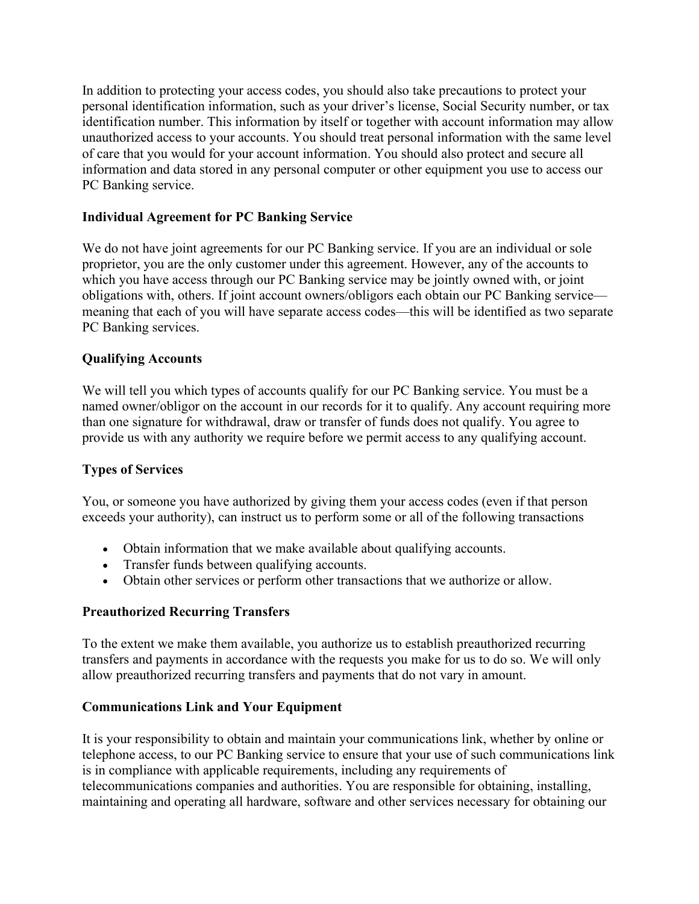In addition to protecting your access codes, you should also take precautions to protect your personal identification information, such as your driver's license, Social Security number, or tax identification number. This information by itself or together with account information may allow unauthorized access to your accounts. You should treat personal information with the same level of care that you would for your account information. You should also protect and secure all information and data stored in any personal computer or other equipment you use to access our PC Banking service.

## **Individual Agreement for PC Banking Service**

We do not have joint agreements for our PC Banking service. If you are an individual or sole proprietor, you are the only customer under this agreement. However, any of the accounts to which you have access through our PC Banking service may be jointly owned with, or joint obligations with, others. If joint account owners/obligors each obtain our PC Banking service meaning that each of you will have separate access codes—this will be identified as two separate PC Banking services.

# **Qualifying Accounts**

We will tell you which types of accounts qualify for our PC Banking service. You must be a named owner/obligor on the account in our records for it to qualify. Any account requiring more than one signature for withdrawal, draw or transfer of funds does not qualify. You agree to provide us with any authority we require before we permit access to any qualifying account.

## **Types of Services**

You, or someone you have authorized by giving them your access codes (even if that person exceeds your authority), can instruct us to perform some or all of the following transactions

- Obtain information that we make available about qualifying accounts.
- Transfer funds between qualifying accounts.
- Obtain other services or perform other transactions that we authorize or allow.

# **Preauthorized Recurring Transfers**

To the extent we make them available, you authorize us to establish preauthorized recurring transfers and payments in accordance with the requests you make for us to do so. We will only allow preauthorized recurring transfers and payments that do not vary in amount.

## **Communications Link and Your Equipment**

It is your responsibility to obtain and maintain your communications link, whether by online or telephone access, to our PC Banking service to ensure that your use of such communications link is in compliance with applicable requirements, including any requirements of telecommunications companies and authorities. You are responsible for obtaining, installing, maintaining and operating all hardware, software and other services necessary for obtaining our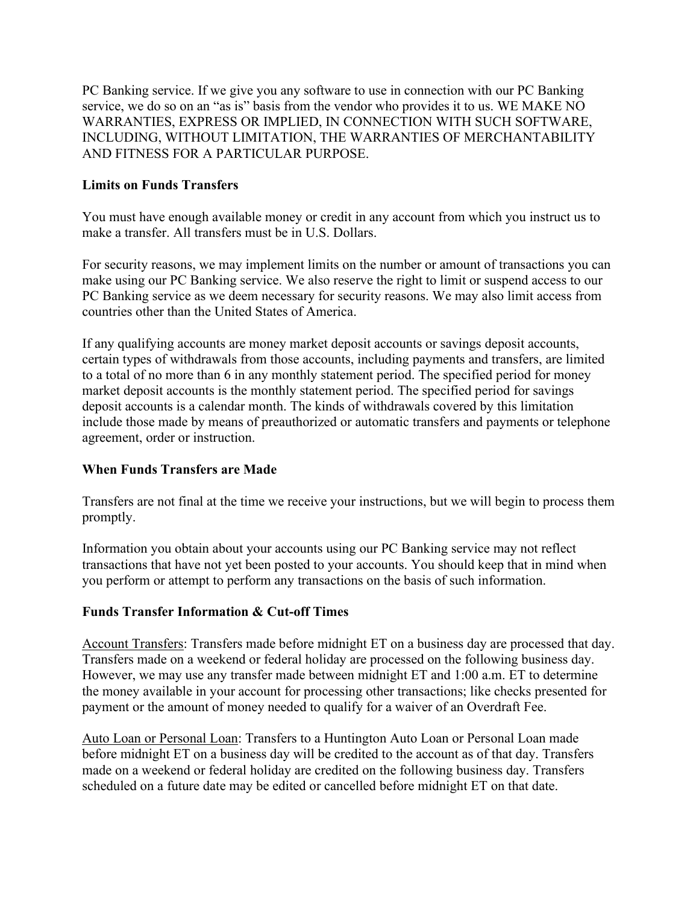PC Banking service. If we give you any software to use in connection with our PC Banking service, we do so on an "as is" basis from the vendor who provides it to us. WE MAKE NO WARRANTIES, EXPRESS OR IMPLIED, IN CONNECTION WITH SUCH SOFTWARE, INCLUDING, WITHOUT LIMITATION, THE WARRANTIES OF MERCHANTABILITY AND FITNESS FOR A PARTICULAR PURPOSE.

## **Limits on Funds Transfers**

You must have enough available money or credit in any account from which you instruct us to make a transfer. All transfers must be in U.S. Dollars.

For security reasons, we may implement limits on the number or amount of transactions you can make using our PC Banking service. We also reserve the right to limit or suspend access to our PC Banking service as we deem necessary for security reasons. We may also limit access from countries other than the United States of America.

If any qualifying accounts are money market deposit accounts or savings deposit accounts, certain types of withdrawals from those accounts, including payments and transfers, are limited to a total of no more than 6 in any monthly statement period. The specified period for money market deposit accounts is the monthly statement period. The specified period for savings deposit accounts is a calendar month. The kinds of withdrawals covered by this limitation include those made by means of preauthorized or automatic transfers and payments or telephone agreement, order or instruction.

## **When Funds Transfers are Made**

Transfers are not final at the time we receive your instructions, but we will begin to process them promptly.

Information you obtain about your accounts using our PC Banking service may not reflect transactions that have not yet been posted to your accounts. You should keep that in mind when you perform or attempt to perform any transactions on the basis of such information.

## **Funds Transfer Information & Cut-off Times**

Account Transfers: Transfers made before midnight ET on a business day are processed that day. Transfers made on a weekend or federal holiday are processed on the following business day. However, we may use any transfer made between midnight ET and 1:00 a.m. ET to determine the money available in your account for processing other transactions; like checks presented for payment or the amount of money needed to qualify for a waiver of an Overdraft Fee.

Auto Loan or Personal Loan: Transfers to a Huntington Auto Loan or Personal Loan made before midnight ET on a business day will be credited to the account as of that day. Transfers made on a weekend or federal holiday are credited on the following business day. Transfers scheduled on a future date may be edited or cancelled before midnight ET on that date.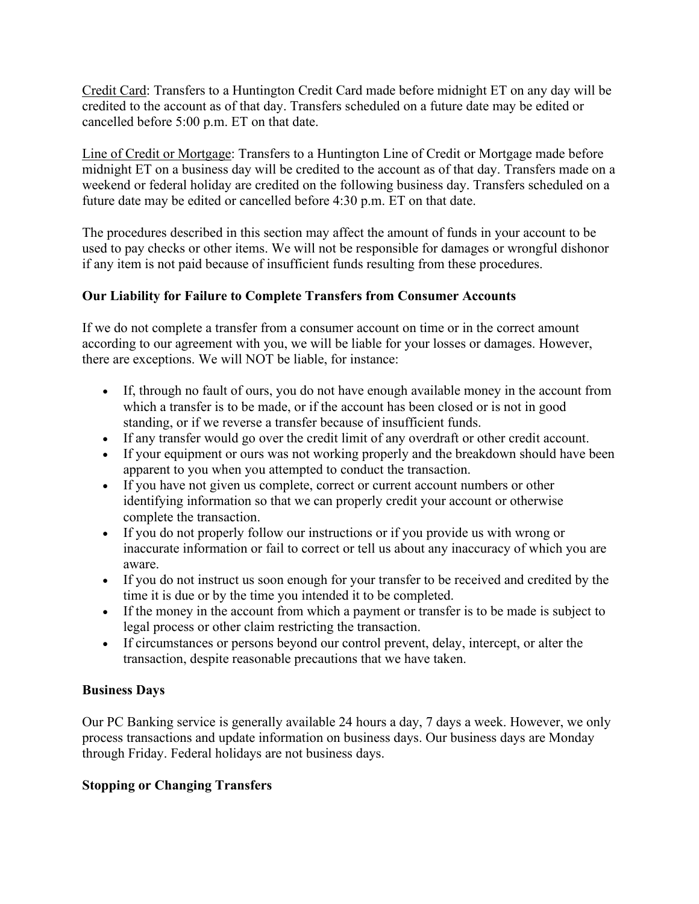Credit Card: Transfers to a Huntington Credit Card made before midnight ET on any day will be credited to the account as of that day. Transfers scheduled on a future date may be edited or cancelled before 5:00 p.m. ET on that date.

Line of Credit or Mortgage: Transfers to a Huntington Line of Credit or Mortgage made before midnight ET on a business day will be credited to the account as of that day. Transfers made on a weekend or federal holiday are credited on the following business day. Transfers scheduled on a future date may be edited or cancelled before 4:30 p.m. ET on that date.

The procedures described in this section may affect the amount of funds in your account to be used to pay checks or other items. We will not be responsible for damages or wrongful dishonor if any item is not paid because of insufficient funds resulting from these procedures.

# **Our Liability for Failure to Complete Transfers from Consumer Accounts**

If we do not complete a transfer from a consumer account on time or in the correct amount according to our agreement with you, we will be liable for your losses or damages. However, there are exceptions. We will NOT be liable, for instance:

- If, through no fault of ours, you do not have enough available money in the account from which a transfer is to be made, or if the account has been closed or is not in good standing, or if we reverse a transfer because of insufficient funds.
- If any transfer would go over the credit limit of any overdraft or other credit account.
- If your equipment or ours was not working properly and the breakdown should have been apparent to you when you attempted to conduct the transaction.
- If you have not given us complete, correct or current account numbers or other identifying information so that we can properly credit your account or otherwise complete the transaction.
- If you do not properly follow our instructions or if you provide us with wrong or inaccurate information or fail to correct or tell us about any inaccuracy of which you are aware.
- If you do not instruct us soon enough for your transfer to be received and credited by the time it is due or by the time you intended it to be completed.
- If the money in the account from which a payment or transfer is to be made is subject to legal process or other claim restricting the transaction.
- If circumstances or persons beyond our control prevent, delay, intercept, or alter the transaction, despite reasonable precautions that we have taken.

# **Business Days**

Our PC Banking service is generally available 24 hours a day, 7 days a week. However, we only process transactions and update information on business days. Our business days are Monday through Friday. Federal holidays are not business days.

# **Stopping or Changing Transfers**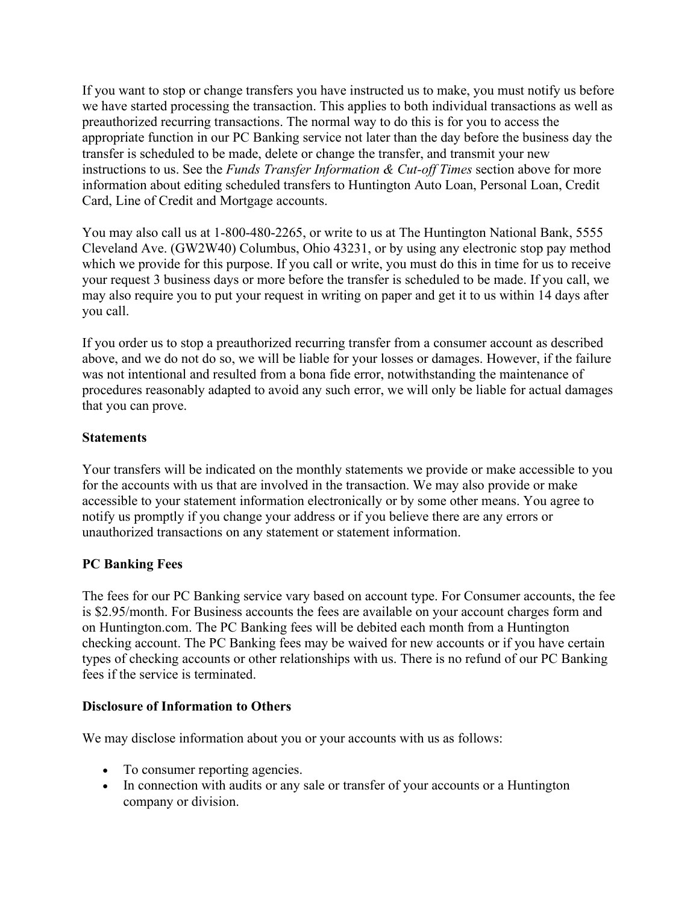If you want to stop or change transfers you have instructed us to make, you must notify us before we have started processing the transaction. This applies to both individual transactions as well as preauthorized recurring transactions. The normal way to do this is for you to access the appropriate function in our PC Banking service not later than the day before the business day the transfer is scheduled to be made, delete or change the transfer, and transmit your new instructions to us. See the *Funds Transfer Information & Cut-off Times* section above for more information about editing scheduled transfers to Huntington Auto Loan, Personal Loan, Credit Card, Line of Credit and Mortgage accounts.

You may also call us at 1-800-480-2265, or write to us at The Huntington National Bank, 5555 Cleveland Ave. (GW2W40) Columbus, Ohio 43231, or by using any electronic stop pay method which we provide for this purpose. If you call or write, you must do this in time for us to receive your request 3 business days or more before the transfer is scheduled to be made. If you call, we may also require you to put your request in writing on paper and get it to us within 14 days after you call.

If you order us to stop a preauthorized recurring transfer from a consumer account as described above, and we do not do so, we will be liable for your losses or damages. However, if the failure was not intentional and resulted from a bona fide error, notwithstanding the maintenance of procedures reasonably adapted to avoid any such error, we will only be liable for actual damages that you can prove.

#### **Statements**

Your transfers will be indicated on the monthly statements we provide or make accessible to you for the accounts with us that are involved in the transaction. We may also provide or make accessible to your statement information electronically or by some other means. You agree to notify us promptly if you change your address or if you believe there are any errors or unauthorized transactions on any statement or statement information.

## **PC Banking Fees**

The fees for our PC Banking service vary based on account type. For Consumer accounts, the fee is \$2.95/month. For Business accounts the fees are available on your account charges form and on Huntington.com. The PC Banking fees will be debited each month from a Huntington checking account. The PC Banking fees may be waived for new accounts or if you have certain types of checking accounts or other relationships with us. There is no refund of our PC Banking fees if the service is terminated.

#### **Disclosure of Information to Others**

We may disclose information about you or your accounts with us as follows:

- To consumer reporting agencies.
- In connection with audits or any sale or transfer of your accounts or a Huntington company or division.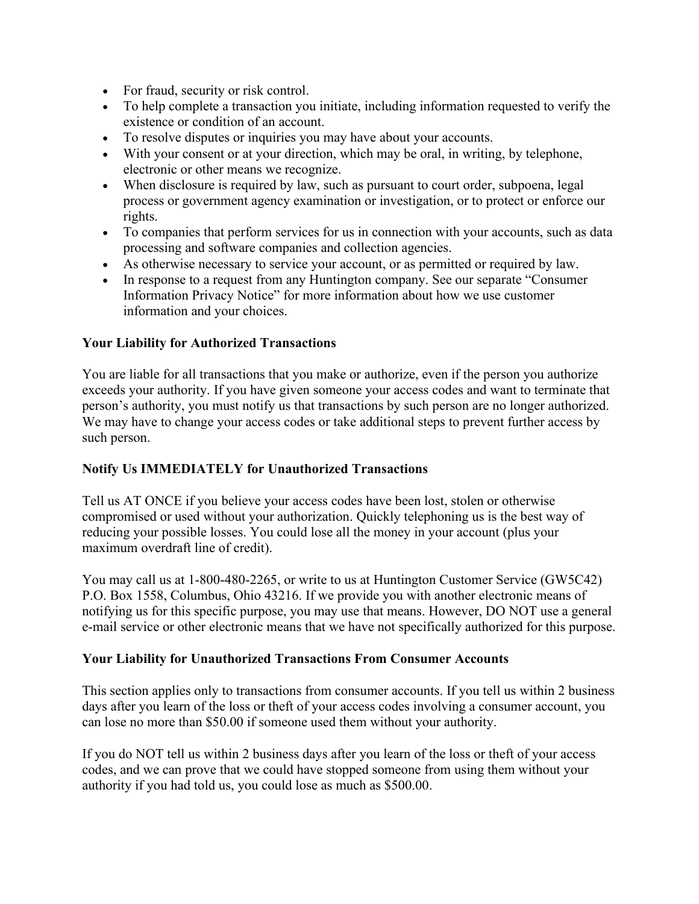- For fraud, security or risk control.
- To help complete a transaction you initiate, including information requested to verify the existence or condition of an account.
- To resolve disputes or inquiries you may have about your accounts.
- With your consent or at your direction, which may be oral, in writing, by telephone, electronic or other means we recognize.
- When disclosure is required by law, such as pursuant to court order, subpoena, legal process or government agency examination or investigation, or to protect or enforce our rights.
- To companies that perform services for us in connection with your accounts, such as data processing and software companies and collection agencies.
- As otherwise necessary to service your account, or as permitted or required by law.
- In response to a request from any Huntington company. See our separate "Consumer" Information Privacy Notice" for more information about how we use customer information and your choices.

## **Your Liability for Authorized Transactions**

You are liable for all transactions that you make or authorize, even if the person you authorize exceeds your authority. If you have given someone your access codes and want to terminate that person's authority, you must notify us that transactions by such person are no longer authorized. We may have to change your access codes or take additional steps to prevent further access by such person.

## **Notify Us IMMEDIATELY for Unauthorized Transactions**

Tell us AT ONCE if you believe your access codes have been lost, stolen or otherwise compromised or used without your authorization. Quickly telephoning us is the best way of reducing your possible losses. You could lose all the money in your account (plus your maximum overdraft line of credit).

You may call us at 1-800-480-2265, or write to us at Huntington Customer Service (GW5C42) P.O. Box 1558, Columbus, Ohio 43216. If we provide you with another electronic means of notifying us for this specific purpose, you may use that means. However, DO NOT use a general e-mail service or other electronic means that we have not specifically authorized for this purpose.

## **Your Liability for Unauthorized Transactions From Consumer Accounts**

This section applies only to transactions from consumer accounts. If you tell us within 2 business days after you learn of the loss or theft of your access codes involving a consumer account, you can lose no more than \$50.00 if someone used them without your authority.

If you do NOT tell us within 2 business days after you learn of the loss or theft of your access codes, and we can prove that we could have stopped someone from using them without your authority if you had told us, you could lose as much as \$500.00.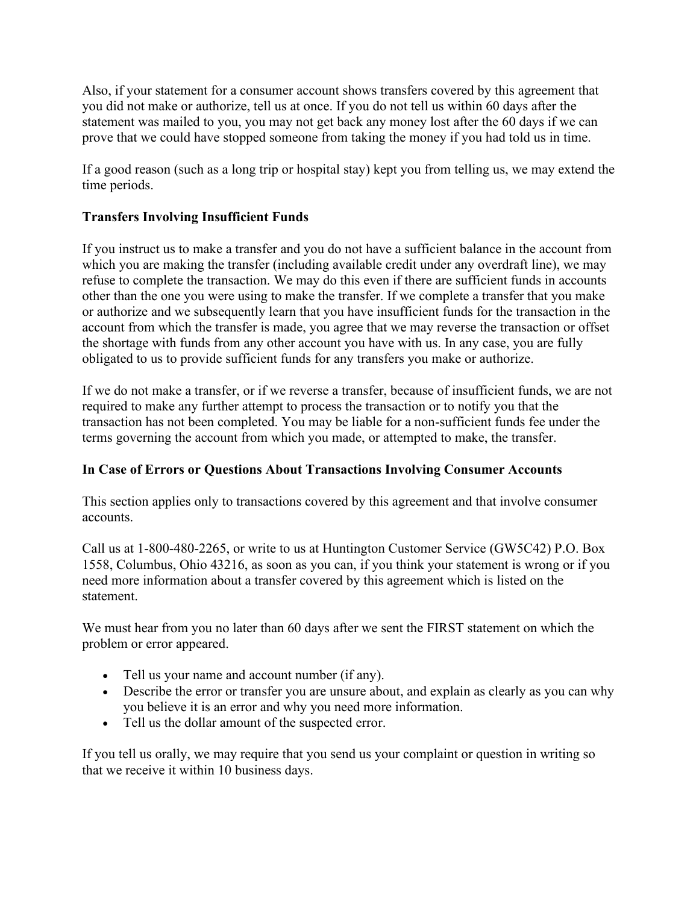Also, if your statement for a consumer account shows transfers covered by this agreement that you did not make or authorize, tell us at once. If you do not tell us within 60 days after the statement was mailed to you, you may not get back any money lost after the 60 days if we can prove that we could have stopped someone from taking the money if you had told us in time.

If a good reason (such as a long trip or hospital stay) kept you from telling us, we may extend the time periods.

# **Transfers Involving Insufficient Funds**

If you instruct us to make a transfer and you do not have a sufficient balance in the account from which you are making the transfer (including available credit under any overdraft line), we may refuse to complete the transaction. We may do this even if there are sufficient funds in accounts other than the one you were using to make the transfer. If we complete a transfer that you make or authorize and we subsequently learn that you have insufficient funds for the transaction in the account from which the transfer is made, you agree that we may reverse the transaction or offset the shortage with funds from any other account you have with us. In any case, you are fully obligated to us to provide sufficient funds for any transfers you make or authorize.

If we do not make a transfer, or if we reverse a transfer, because of insufficient funds, we are not required to make any further attempt to process the transaction or to notify you that the transaction has not been completed. You may be liable for a non-sufficient funds fee under the terms governing the account from which you made, or attempted to make, the transfer.

## **In Case of Errors or Questions About Transactions Involving Consumer Accounts**

This section applies only to transactions covered by this agreement and that involve consumer accounts.

Call us at 1-800-480-2265, or write to us at Huntington Customer Service (GW5C42) P.O. Box 1558, Columbus, Ohio 43216, as soon as you can, if you think your statement is wrong or if you need more information about a transfer covered by this agreement which is listed on the statement.

We must hear from you no later than 60 days after we sent the FIRST statement on which the problem or error appeared.

- Tell us your name and account number (if any).
- Describe the error or transfer you are unsure about, and explain as clearly as you can why you believe it is an error and why you need more information.
- Tell us the dollar amount of the suspected error.

If you tell us orally, we may require that you send us your complaint or question in writing so that we receive it within 10 business days.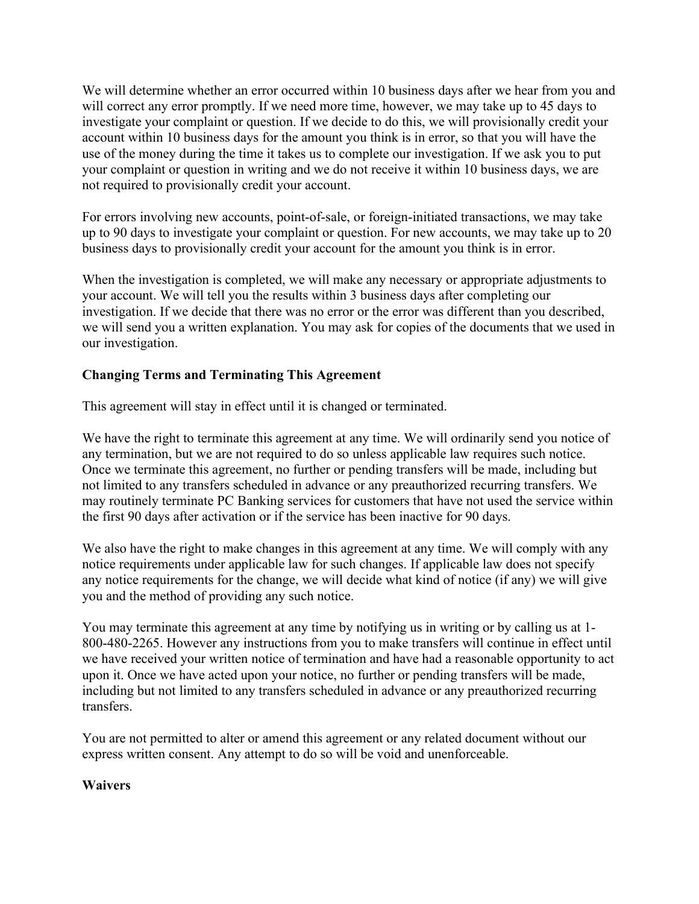We will determine whether an error occurred within 10 business days after we hear from you and will correct any error promptly. If we need more time, however, we may take up to 45 days to investigate your complaint or question. If we decide to do this, we will provisionally credit your account within 10 business days for the amount you think is in error, so that you will have the use of the money during the time it takes us to complete our investigation. If we ask you to put your complaint or question in writing and we do not receive it within 10 business days, we are not required to provisionally credit your account.

For errors involving new accounts, point-of-sale, or foreign-initiated transactions, we may take up to 90 days to investigate your complaint or question. For new accounts, we may take up to 20 business days to provisionally credit your account for the amount you think is in error.

When the investigation is completed, we will make any necessary or appropriate adjustments to your account. We will tell you the results within 3 business days after completing our investigation. If we decide that there was no error or the error was different than you described, we will send you a written explanation. You may ask for copies of the documents that we used in our investigation.

## **Changing Terms and Terminating This Agreement**

This agreement will stay in effect until it is changed or terminated.

We have the right to terminate this agreement at any time. We will ordinarily send you notice of any termination, but we are not required to do so unless applicable law requires such notice. Once we terminate this agreement, no further or pending transfers will be made, including but not limited to any transfers scheduled in advance or any preauthorized recurring transfers. We may routinely terminate PC Banking services for customers that have not used the service within the first 90 days after activation or if the service has been inactive for 90 days.

We also have the right to make changes in this agreement at any time. We will comply with any notice requirements under applicable law for such changes. If applicable law does not specify any notice requirements for the change, we will decide what kind of notice (if any) we will give you and the method of providing any such notice.

You may terminate this agreement at any time by notifying us in writing or by calling us at 1- 800-480-2265. However any instructions from you to make transfers will continue in effect until we have received your written notice of termination and have had a reasonable opportunity to act upon it. Once we have acted upon your notice, no further or pending transfers will be made, including but not limited to any transfers scheduled in advance or any preauthorized recurring transfers.

You are not permitted to alter or amend this agreement or any related document without our express written consent. Any attempt to do so will be void and unenforceable.

## **Waivers**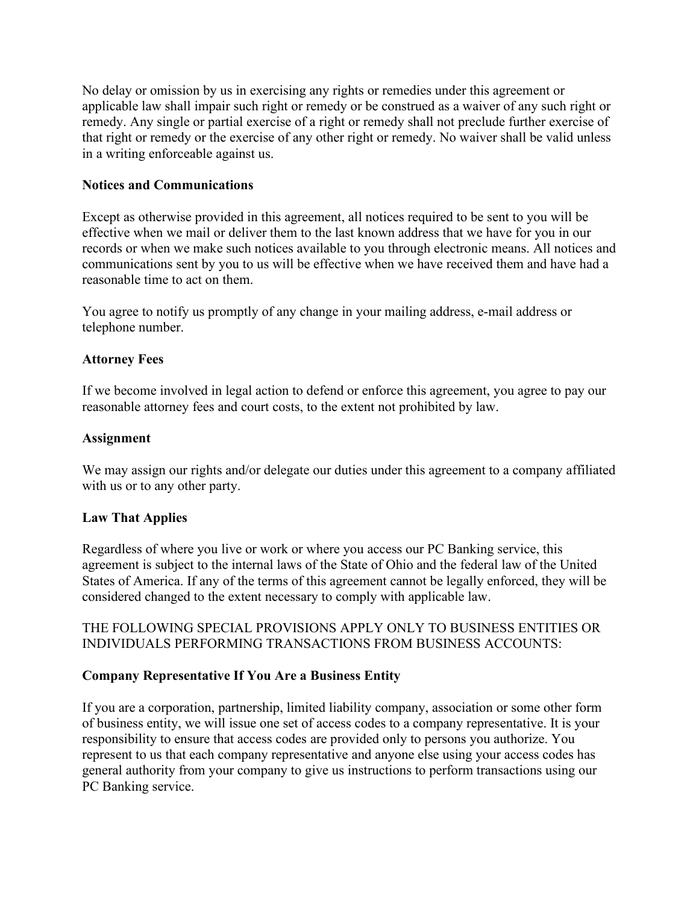No delay or omission by us in exercising any rights or remedies under this agreement or applicable law shall impair such right or remedy or be construed as a waiver of any such right or remedy. Any single or partial exercise of a right or remedy shall not preclude further exercise of that right or remedy or the exercise of any other right or remedy. No waiver shall be valid unless in a writing enforceable against us.

#### **Notices and Communications**

Except as otherwise provided in this agreement, all notices required to be sent to you will be effective when we mail or deliver them to the last known address that we have for you in our records or when we make such notices available to you through electronic means. All notices and communications sent by you to us will be effective when we have received them and have had a reasonable time to act on them.

You agree to notify us promptly of any change in your mailing address, e-mail address or telephone number.

#### **Attorney Fees**

If we become involved in legal action to defend or enforce this agreement, you agree to pay our reasonable attorney fees and court costs, to the extent not prohibited by law.

#### **Assignment**

We may assign our rights and/or delegate our duties under this agreement to a company affiliated with us or to any other party.

## **Law That Applies**

Regardless of where you live or work or where you access our PC Banking service, this agreement is subject to the internal laws of the State of Ohio and the federal law of the United States of America. If any of the terms of this agreement cannot be legally enforced, they will be considered changed to the extent necessary to comply with applicable law.

#### THE FOLLOWING SPECIAL PROVISIONS APPLY ONLY TO BUSINESS ENTITIES OR INDIVIDUALS PERFORMING TRANSACTIONS FROM BUSINESS ACCOUNTS:

## **Company Representative If You Are a Business Entity**

If you are a corporation, partnership, limited liability company, association or some other form of business entity, we will issue one set of access codes to a company representative. It is your responsibility to ensure that access codes are provided only to persons you authorize. You represent to us that each company representative and anyone else using your access codes has general authority from your company to give us instructions to perform transactions using our PC Banking service.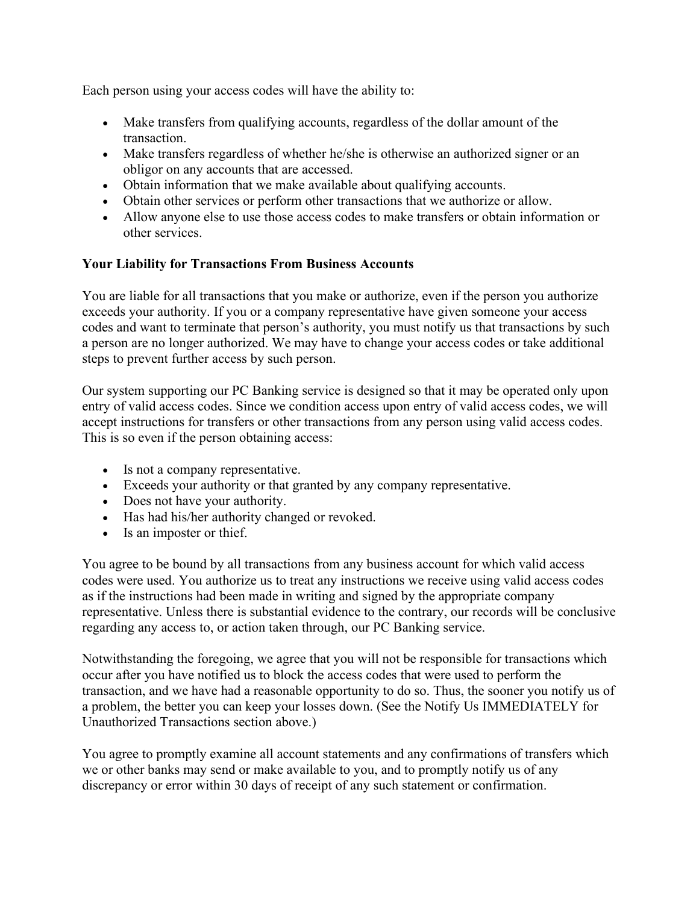Each person using your access codes will have the ability to:

- Make transfers from qualifying accounts, regardless of the dollar amount of the transaction.
- Make transfers regardless of whether he/she is otherwise an authorized signer or an obligor on any accounts that are accessed.
- Obtain information that we make available about qualifying accounts.
- Obtain other services or perform other transactions that we authorize or allow.
- Allow anyone else to use those access codes to make transfers or obtain information or other services.

#### **Your Liability for Transactions From Business Accounts**

You are liable for all transactions that you make or authorize, even if the person you authorize exceeds your authority. If you or a company representative have given someone your access codes and want to terminate that person's authority, you must notify us that transactions by such a person are no longer authorized. We may have to change your access codes or take additional steps to prevent further access by such person.

Our system supporting our PC Banking service is designed so that it may be operated only upon entry of valid access codes. Since we condition access upon entry of valid access codes, we will accept instructions for transfers or other transactions from any person using valid access codes. This is so even if the person obtaining access:

- Is not a company representative.
- Exceeds your authority or that granted by any company representative.
- Does not have your authority.
- Has had his/her authority changed or revoked.
- Is an imposter or thief.

You agree to be bound by all transactions from any business account for which valid access codes were used. You authorize us to treat any instructions we receive using valid access codes as if the instructions had been made in writing and signed by the appropriate company representative. Unless there is substantial evidence to the contrary, our records will be conclusive regarding any access to, or action taken through, our PC Banking service.

Notwithstanding the foregoing, we agree that you will not be responsible for transactions which occur after you have notified us to block the access codes that were used to perform the transaction, and we have had a reasonable opportunity to do so. Thus, the sooner you notify us of a problem, the better you can keep your losses down. (See the Notify Us IMMEDIATELY for Unauthorized Transactions section above.)

You agree to promptly examine all account statements and any confirmations of transfers which we or other banks may send or make available to you, and to promptly notify us of any discrepancy or error within 30 days of receipt of any such statement or confirmation.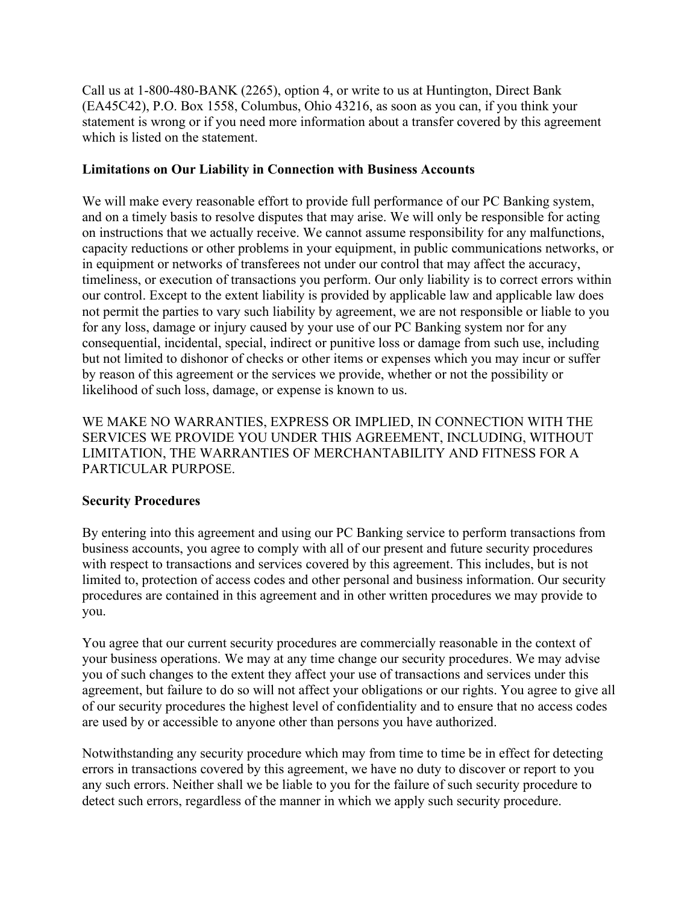Call us at 1-800-480-BANK (2265), option 4, or write to us at Huntington, Direct Bank (EA45C42), P.O. Box 1558, Columbus, Ohio 43216, as soon as you can, if you think your statement is wrong or if you need more information about a transfer covered by this agreement which is listed on the statement.

#### **Limitations on Our Liability in Connection with Business Accounts**

We will make every reasonable effort to provide full performance of our PC Banking system, and on a timely basis to resolve disputes that may arise. We will only be responsible for acting on instructions that we actually receive. We cannot assume responsibility for any malfunctions, capacity reductions or other problems in your equipment, in public communications networks, or in equipment or networks of transferees not under our control that may affect the accuracy, timeliness, or execution of transactions you perform. Our only liability is to correct errors within our control. Except to the extent liability is provided by applicable law and applicable law does not permit the parties to vary such liability by agreement, we are not responsible or liable to you for any loss, damage or injury caused by your use of our PC Banking system nor for any consequential, incidental, special, indirect or punitive loss or damage from such use, including but not limited to dishonor of checks or other items or expenses which you may incur or suffer by reason of this agreement or the services we provide, whether or not the possibility or likelihood of such loss, damage, or expense is known to us.

WE MAKE NO WARRANTIES, EXPRESS OR IMPLIED, IN CONNECTION WITH THE SERVICES WE PROVIDE YOU UNDER THIS AGREEMENT, INCLUDING, WITHOUT LIMITATION, THE WARRANTIES OF MERCHANTABILITY AND FITNESS FOR A PARTICULAR PURPOSE.

## **Security Procedures**

By entering into this agreement and using our PC Banking service to perform transactions from business accounts, you agree to comply with all of our present and future security procedures with respect to transactions and services covered by this agreement. This includes, but is not limited to, protection of access codes and other personal and business information. Our security procedures are contained in this agreement and in other written procedures we may provide to you.

You agree that our current security procedures are commercially reasonable in the context of your business operations. We may at any time change our security procedures. We may advise you of such changes to the extent they affect your use of transactions and services under this agreement, but failure to do so will not affect your obligations or our rights. You agree to give all of our security procedures the highest level of confidentiality and to ensure that no access codes are used by or accessible to anyone other than persons you have authorized.

Notwithstanding any security procedure which may from time to time be in effect for detecting errors in transactions covered by this agreement, we have no duty to discover or report to you any such errors. Neither shall we be liable to you for the failure of such security procedure to detect such errors, regardless of the manner in which we apply such security procedure.